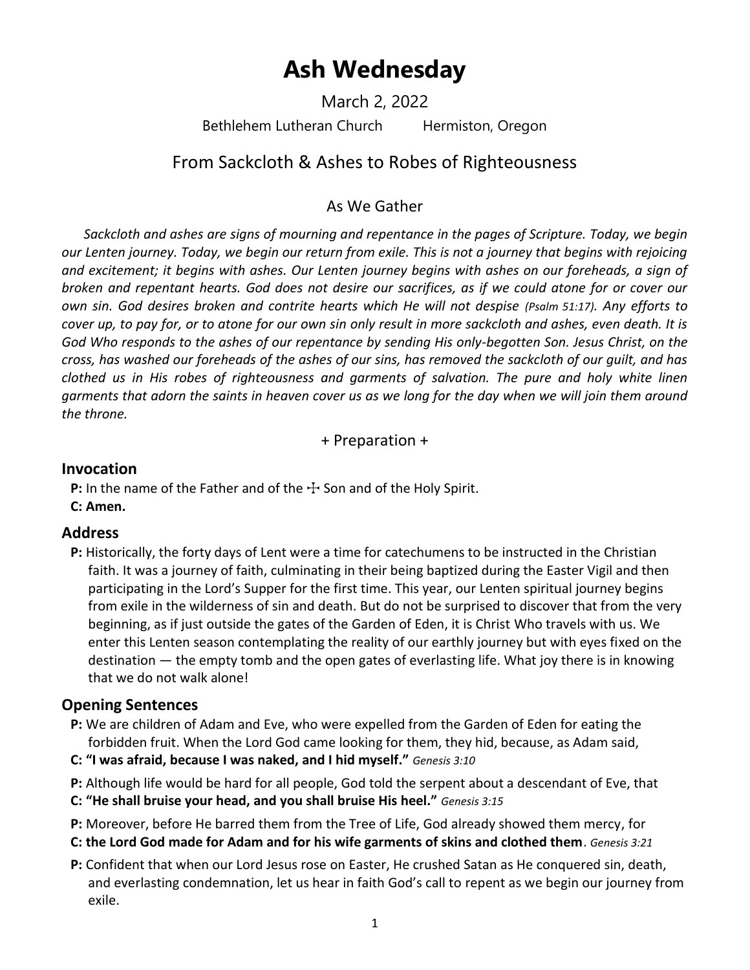# **Ash Wednesday**

March 2, 2022

Bethlehem Lutheran Church Hermiston, Oregon

## From Sackcloth & Ashes to Robes of Righteousness

## As We Gather

*Sackcloth and ashes are signs of mourning and repentance in the pages of Scripture. Today, we begin our Lenten journey. Today, we begin our return from exile. This is not a journey that begins with rejoicing and excitement; it begins with ashes. Our Lenten journey begins with ashes on our foreheads, a sign of broken and repentant hearts. God does not desire our sacrifices, as if we could atone for or cover our own sin. God desires broken and contrite hearts which He will not despise (Psalm 51:17). Any efforts to cover up, to pay for, or to atone for our own sin only result in more sackcloth and ashes, even death. It is God Who responds to the ashes of our repentance by sending His only-begotten Son. Jesus Christ, on the cross, has washed our foreheads of the ashes of our sins, has removed the sackcloth of our guilt, and has clothed us in His robes of righteousness and garments of salvation. The pure and holy white linen garments that adorn the saints in heaven cover us as we long for the day when we will join them around the throne.*

+ Preparation +

## **Invocation**

**P:** In the name of the Father and of the  $\pm$  Son and of the Holy Spirit.

**C: Amen.**

## **Address**

**P:** Historically, the forty days of Lent were a time for catechumens to be instructed in the Christian faith. It was a journey of faith, culminating in their being baptized during the Easter Vigil and then participating in the Lord's Supper for the first time. This year, our Lenten spiritual journey begins from exile in the wilderness of sin and death. But do not be surprised to discover that from the very beginning, as if just outside the gates of the Garden of Eden, it is Christ Who travels with us. We enter this Lenten season contemplating the reality of our earthly journey but with eyes fixed on the destination — the empty tomb and the open gates of everlasting life. What joy there is in knowing that we do not walk alone!

## **Opening Sentences**

- **P:** We are children of Adam and Eve, who were expelled from the Garden of Eden for eating the forbidden fruit. When the Lord God came looking for them, they hid, because, as Adam said,
- **C: "I was afraid, because I was naked, and I hid myself."** *Genesis 3:10*
- **P:** Although life would be hard for all people, God told the serpent about a descendant of Eve, that
- **C: "He shall bruise your head, and you shall bruise His heel."** *Genesis 3:15*
- **P:** Moreover, before He barred them from the Tree of Life, God already showed them mercy, for
- **C: the Lord God made for Adam and for his wife garments of skins and clothed them**. *Genesis 3:21*
- **P:** Confident that when our Lord Jesus rose on Easter, He crushed Satan as He conquered sin, death, and everlasting condemnation, let us hear in faith God's call to repent as we begin our journey from exile.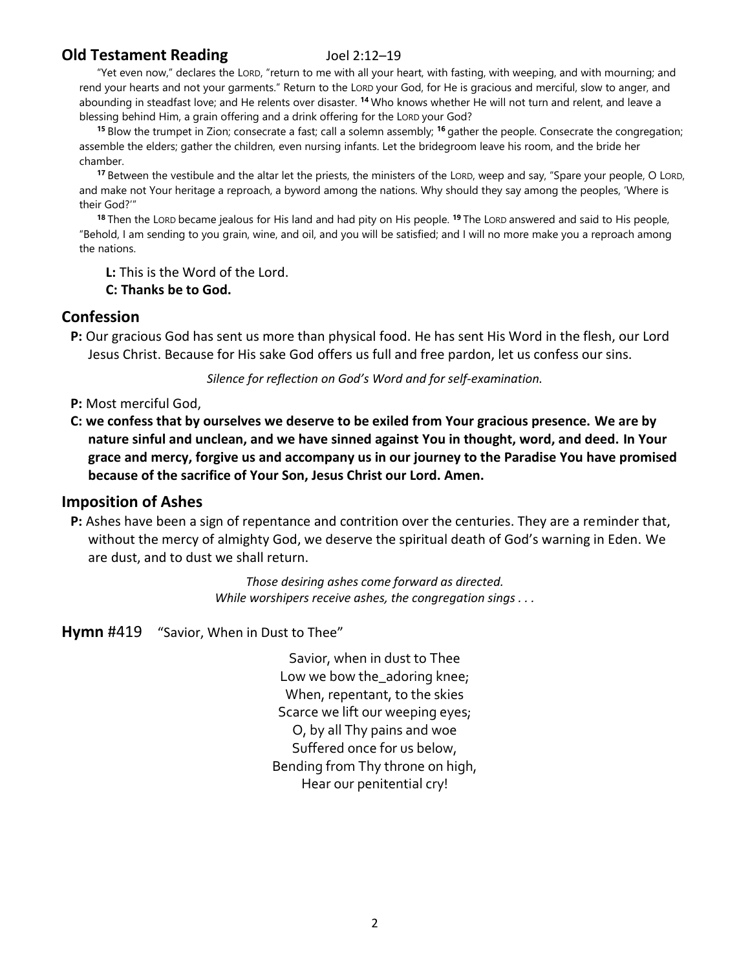## **Old Testament Reading** Joel 2:12–19

"Yet even now," declares the LORD, "return to me with all your heart, with fasting, with weeping, and with mourning; and rend your hearts and not your garments." Return to the LORD your God, for He is gracious and merciful, slow to anger, and abounding in steadfast love; and He relents over disaster. **<sup>14</sup>** Who knows whether He will not turn and relent, and leave a blessing behind Him, a grain offering and a drink offering for the LORD your God?

**<sup>15</sup>** Blow the trumpet in Zion; consecrate a fast; call a solemn assembly; **<sup>16</sup>** gather the people. Consecrate the congregation; assemble the elders; gather the children, even nursing infants. Let the bridegroom leave his room, and the bride her chamber.

**<sup>17</sup>** Between the vestibule and the altar let the priests, the ministers of the LORD, weep and say, "Spare your people, O LORD, and make not Your heritage a reproach, a byword among the nations. Why should they say among the peoples, 'Where is their God?'"

**<sup>18</sup>** Then the LORD became jealous for His land and had pity on His people. **<sup>19</sup>** The LORD answered and said to His people, "Behold, I am sending to you grain, wine, and oil, and you will be satisfied; and I will no more make you a reproach among the nations.

**L:** This is the Word of the Lord.

**C: Thanks be to God.**

## **Confession**

**P:** Our gracious God has sent us more than physical food. He has sent His Word in the flesh, our Lord Jesus Christ. Because for His sake God offers us full and free pardon, let us confess our sins.

*Silence for reflection on God's Word and for self-examination.*

- **P:** Most merciful God,
- **C: we confess that by ourselves we deserve to be exiled from Your gracious presence. We are by nature sinful and unclean, and we have sinned against You in thought, word, and deed. In Your grace and mercy, forgive us and accompany us in our journey to the Paradise You have promised because of the sacrifice of Your Son, Jesus Christ our Lord. Amen.**

## **Imposition of Ashes**

**P:** Ashes have been a sign of repentance and contrition over the centuries. They are a reminder that, without the mercy of almighty God, we deserve the spiritual death of God's warning in Eden. We are dust, and to dust we shall return.

> *Those desiring ashes come forward as directed. While worshipers receive ashes, the congregation sings . . .*

**Hymn** #419 "Savior, When in Dust to Thee"

Savior, when in dust to Thee Low we bow the\_adoring knee; When, repentant, to the skies Scarce we lift our weeping eyes; O, by all Thy pains and woe Suffered once for us below, Bending from Thy throne on high, Hear our penitential cry!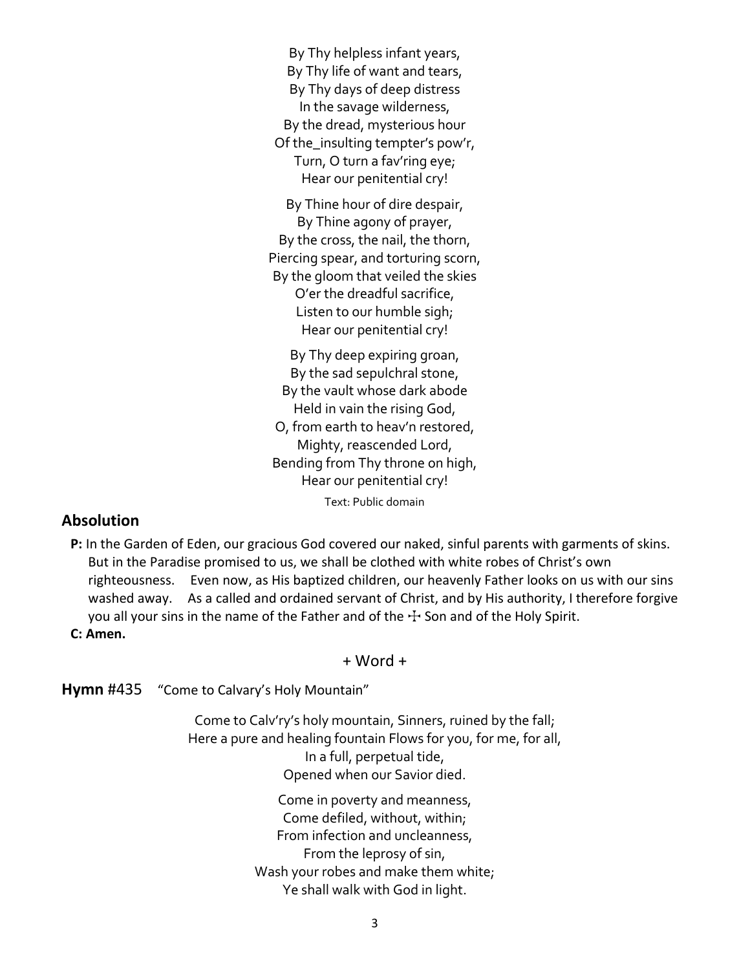By Thy helpless infant years, By Thy life of want and tears, By Thy days of deep distress In the savage wilderness, By the dread, mysterious hour Of the insulting tempter's pow'r, Turn, O turn a fav'ring eye; Hear our penitential cry!

By Thine hour of dire despair, By Thine agony of prayer, By the cross, the nail, the thorn, Piercing spear, and torturing scorn, By the gloom that veiled the skies O'er the dreadful sacrifice, Listen to our humble sigh; Hear our penitential cry!

By Thy deep expiring groan, By the sad sepulchral stone, By the vault whose dark abode Held in vain the rising God, O, from earth to heav'n restored, Mighty, reascended Lord, Bending from Thy throne on high, Hear our penitential cry! Text: Public domain

## **Absolution**

**P:** In the Garden of Eden, our gracious God covered our naked, sinful parents with garments of skins. But in the Paradise promised to us, we shall be clothed with white robes of Christ's own righteousness. Even now, as His baptized children, our heavenly Father looks on us with our sins washed away. As a called and ordained servant of Christ, and by His authority, I therefore forgive you all your sins in the name of the Father and of the  $+$  Son and of the Holy Spirit.

**C: Amen.**

### + Word +

**Hymn** #435 "Come to Calvary's Holy Mountain"

Come to Calv'ry's holy mountain, Sinners, ruined by the fall; Here a pure and healing fountain Flows for you, for me, for all, In a full, perpetual tide, Opened when our Savior died.

> Come in poverty and meanness, Come defiled, without, within; From infection and uncleanness, From the leprosy of sin, Wash your robes and make them white; Ye shall walk with God in light.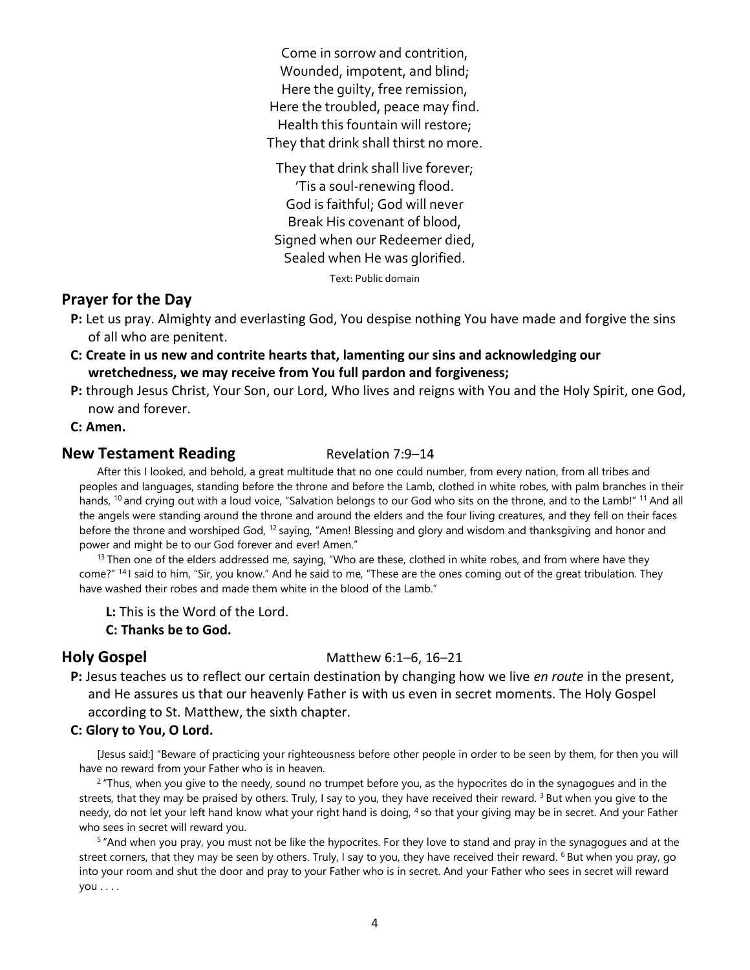Come in sorrow and contrition, Wounded, impotent, and blind; Here the guilty, free remission, Here the troubled, peace may find. Health this fountain will restore; They that drink shall thirst no more.

They that drink shall live forever; 'Tis a soul-renewing flood. God is faithful; God will never Break His covenant of blood, Signed when our Redeemer died, Sealed when He was glorified.

Text: Public domain

## **Prayer for the Day**

- **P:** Let us pray. Almighty and everlasting God, You despise nothing You have made and forgive the sins of all who are penitent.
- **C: Create in us new and contrite hearts that, lamenting our sins and acknowledging our wretchedness, we may receive from You full pardon and forgiveness;**
- **P:** through Jesus Christ, Your Son, our Lord, Who lives and reigns with You and the Holy Spirit, one God, now and forever.

**C: Amen.**

### **New Testament Reading Testament Reading Revelation 7:9–14**

After this I looked, and behold, a great multitude that no one could number, from every nation, from all tribes and peoples and languages, standing before the throne and before the Lamb, clothed in white robes, with palm branches in their hands, <sup>10</sup> and crying out with a loud voice, "Salvation belongs to our God who sits on the throne, and to the Lamb!" <sup>11</sup> And all the angels were standing around the throne and around the elders and the four living creatures, and they fell on their faces before the throne and worshiped God, <sup>12</sup> saying, "Amen! Blessing and glory and wisdom and thanksgiving and honor and power and might be to our God forever and ever! Amen."

 $13$  Then one of the elders addressed me, saying, "Who are these, clothed in white robes, and from where have they come?" <sup>14</sup> I said to him, "Sir, you know." And he said to me, "These are the ones coming out of the great tribulation. They have washed their robes and made them white in the blood of the Lamb."

**L:** This is the Word of the Lord.

**C: Thanks be to God.**

### **Holy Gospel** Matthew 6:1–6, 16–21

**P:** Jesus teaches us to reflect our certain destination by changing how we live *en route* in the present, and He assures us that our heavenly Father is with us even in secret moments. The Holy Gospel according to St. Matthew, the sixth chapter.

### **C: Glory to You, O Lord.**

[Jesus said:] "Beware of practicing your righteousness before other people in order to be seen by them, for then you will have no reward from your Father who is in heaven.

<sup>2</sup> "Thus, when you give to the needy, sound no trumpet before you, as the hypocrites do in the synagogues and in the streets, that they may be praised by others. Truly, I say to you, they have received their reward. <sup>3</sup> But when you give to the needy, do not let your left hand know what your right hand is doing, 4 so that your giving may be in secret. And your Father who sees in secret will reward you.

<sup>5</sup> "And when you pray, you must not be like the hypocrites. For they love to stand and pray in the synagogues and at the street corners, that they may be seen by others. Truly, I say to you, they have received their reward. <sup>6</sup> But when you pray, go into your room and shut the door and pray to your Father who is in secret. And your Father who sees in secret will reward you . . . .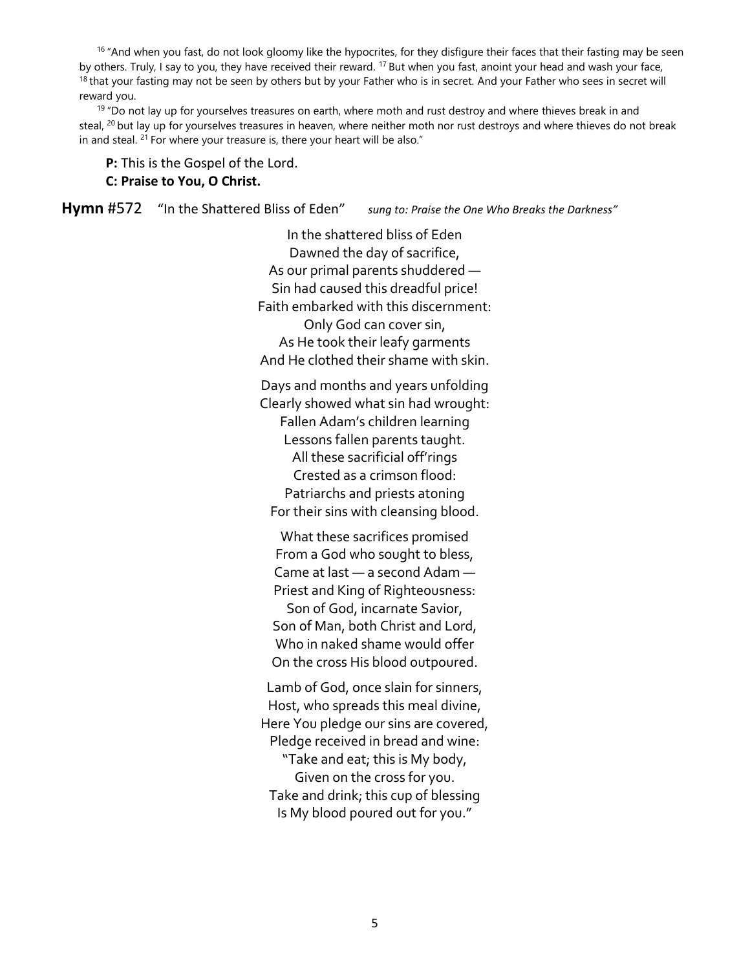$16$  "And when you fast, do not look gloomy like the hypocrites, for they disfigure their faces that their fasting may be seen by others. Truly, I say to you, they have received their reward. <sup>17</sup> But when you fast, anoint your head and wash your face, <sup>18</sup> that your fasting may not be seen by others but by your Father who is in secret. And your Father who sees in secret will reward you.

 $19$  "Do not lay up for yourselves treasures on earth, where moth and rust destroy and where thieves break in and steal, <sup>20</sup> but lay up for yourselves treasures in heaven, where neither moth nor rust destroys and where thieves do not break in and steal. <sup>21</sup> For where your treasure is, there your heart will be also."

### **P:** This is the Gospel of the Lord. **C: Praise to You, O Christ.**

**Hymn** #572 "In the Shattered Bliss of Eden" *sung to: Praise the One Who Breaks the Darkness"*

In the shattered bliss of Eden Dawned the day of sacrifice, As our primal parents shuddered — Sin had caused this dreadful price! Faith embarked with this discernment: Only God can cover sin, As He took their leafy garments And He clothed their shame with skin.

Days and months and years unfolding Clearly showed what sin had wrought: Fallen Adam's children learning Lessons fallen parents taught. All these sacrificial off'rings Crested as a crimson flood: Patriarchs and priests atoning For their sins with cleansing blood.

What these sacrifices promised From a God who sought to bless, Came at last — a second Adam — Priest and King of Righteousness: Son of God, incarnate Savior, Son of Man, both Christ and Lord, Who in naked shame would offer On the cross His blood outpoured.

Lamb of God, once slain for sinners, Host, who spreads this meal divine, Here You pledge our sins are covered, Pledge received in bread and wine: "Take and eat; this is My body, Given on the cross for you. Take and drink; this cup of blessing Is My blood poured out for you."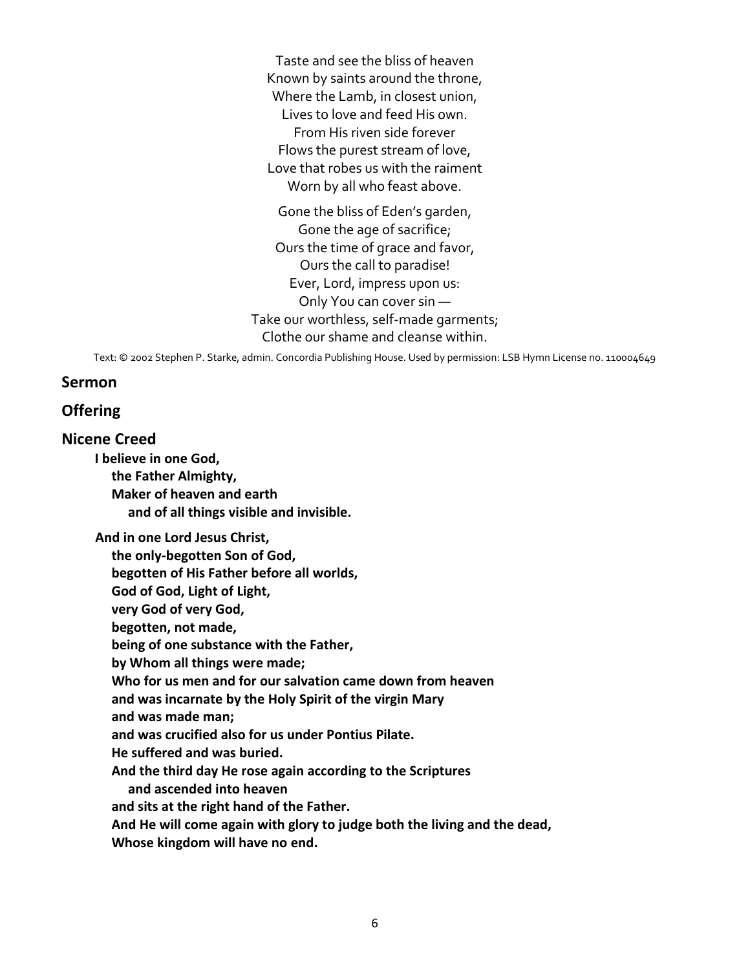Taste and see the bliss of heaven Known by saints around the throne, Where the Lamb, in closest union, Lives to love and feed His own. From His riven side forever Flows the purest stream of love, Love that robes us with the raiment Worn by all who feast above.

Gone the bliss of Eden's garden, Gone the age of sacrifice; Ours the time of grace and favor, Ours the call to paradise! Ever, Lord, impress upon us: Only You can cover sin — Take our worthless, self-made garments; Clothe our shame and cleanse within.

Text: © 2002 Stephen P. Starke, admin. Concordia Publishing House. Used by permission: LSB Hymn License no. 110004649

## **Sermon**

## **Offering**

## **Nicene Creed**

**I believe in one God,**

**the Father Almighty, Maker of heaven and earth and of all things visible and invisible.**

**And in one Lord Jesus Christ,**

**the only-begotten Son of God,**

**begotten of His Father before all worlds,**

**God of God, Light of Light,**

**very God of very God,**

**begotten, not made,**

**being of one substance with the Father,**

**by Whom all things were made;**

**Who for us men and for our salvation came down from heaven**

**and was incarnate by the Holy Spirit of the virgin Mary**

**and was made man;**

**and was crucified also for us under Pontius Pilate.**

**He suffered and was buried.**

**And the third day He rose again according to the Scriptures**

**and ascended into heaven**

**and sits at the right hand of the Father.**

**And He will come again with glory to judge both the living and the dead,**

**Whose kingdom will have no end.**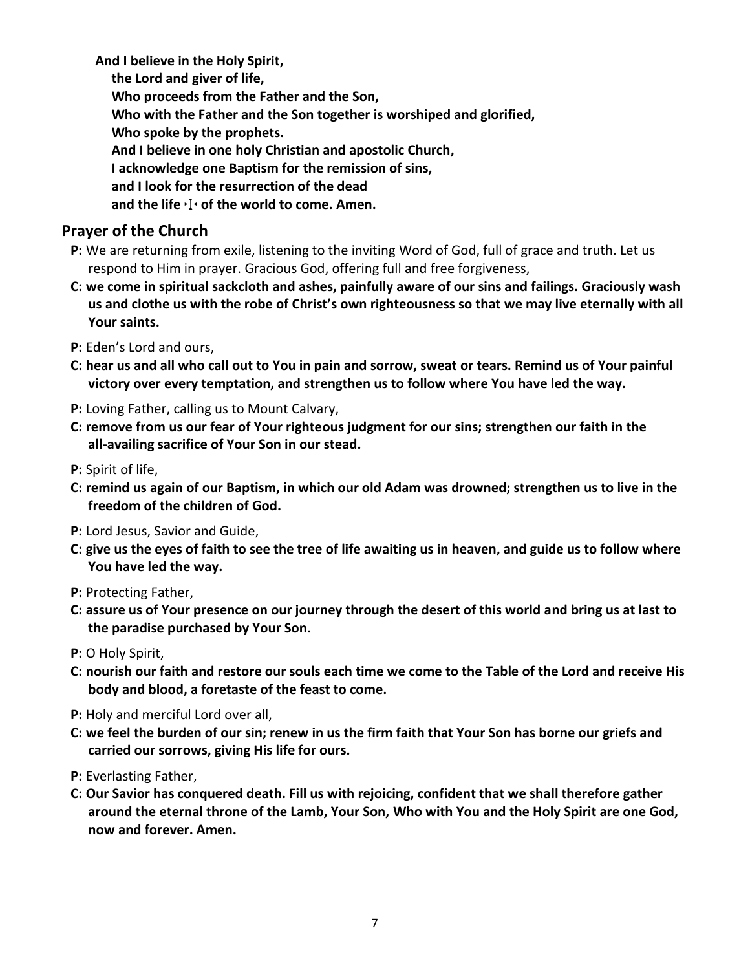**And I believe in the Holy Spirit, the Lord and giver of life, Who proceeds from the Father and the Son, Who with the Father and the Son together is worshiped and glorified, Who spoke by the prophets. And I believe in one holy Christian and apostolic Church, I acknowledge one Baptism for the remission of sins, and I look for the resurrection of the dead** and the life  $\div$  of the world to come. Amen.

## **Prayer of the Church**

- **P:** We are returning from exile, listening to the inviting Word of God, full of grace and truth. Let us respond to Him in prayer. Gracious God, offering full and free forgiveness,
- **C: we come in spiritual sackcloth and ashes, painfully aware of our sins and failings. Graciously wash us and clothe us with the robe of Christ's own righteousness so that we may live eternally with all Your saints.**
- **P:** Eden's Lord and ours,
- **C: hear us and all who call out to You in pain and sorrow, sweat or tears. Remind us of Your painful victory over every temptation, and strengthen us to follow where You have led the way.**
- **P:** Loving Father, calling us to Mount Calvary,
- **C: remove from us our fear of Your righteous judgment for our sins; strengthen our faith in the all-availing sacrifice of Your Son in our stead.**
- **P:** Spirit of life,
- **C: remind us again of our Baptism, in which our old Adam was drowned; strengthen us to live in the freedom of the children of God.**
- **P:** Lord Jesus, Savior and Guide,
- **C: give us the eyes of faith to see the tree of life awaiting us in heaven, and guide us to follow where You have led the way.**
- **P:** Protecting Father,
- **C: assure us of Your presence on our journey through the desert of this world and bring us at last to the paradise purchased by Your Son.**
- **P:** O Holy Spirit,
- **C: nourish our faith and restore our souls each time we come to the Table of the Lord and receive His body and blood, a foretaste of the feast to come.**
- **P:** Holy and merciful Lord over all,
- **C: we feel the burden of our sin; renew in us the firm faith that Your Son has borne our griefs and carried our sorrows, giving His life for ours.**
- **P:** Everlasting Father,
- **C: Our Savior has conquered death. Fill us with rejoicing, confident that we shall therefore gather around the eternal throne of the Lamb, Your Son, Who with You and the Holy Spirit are one God, now and forever. Amen.**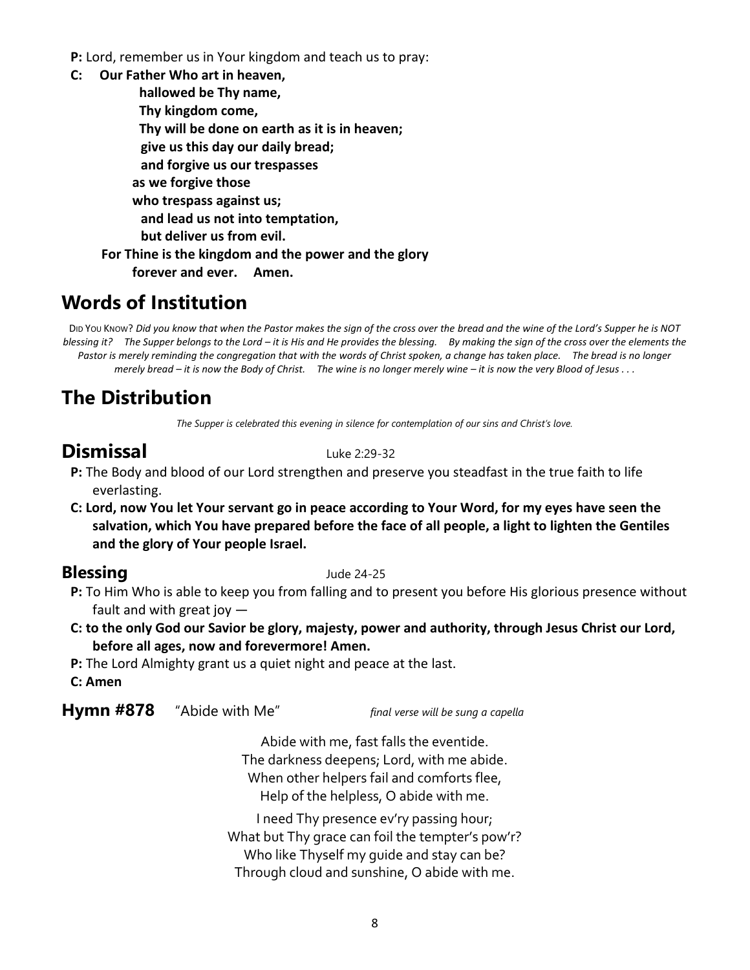**P:** Lord, remember us in Your kingdom and teach us to pray:

- **C: Our Father Who art in heaven,**
	- **hallowed be Thy name,**
		- **Thy kingdom come,**
		- **Thy will be done on earth as it is in heaven;**
		- **give us this day our daily bread;**
		- **and forgive us our trespasses**
	- **as we forgive those**
	- **who trespass against us;**
	- **and lead us not into temptation,**
	- **but deliver us from evil.**
	- **For Thine is the kingdom and the power and the glory**

**forever and ever. Amen.**

# **Words of Institution**

DID YOU KNOW? *Did you know that when the Pastor makes the sign of the cross over the bread and the wine of the Lord's Supper he is NOT blessing it? The Supper belongs to the Lord – it is His and He provides the blessing. By making the sign of the cross over the elements the Pastor is merely reminding the congregation that with the words of Christ spoken, a change has taken place. The bread is no longer merely bread – it is now the Body of Christ. The wine is no longer merely wine – it is now the very Blood of Jesus . . .*

# **The Distribution**

*The Supper is celebrated this evening in silence for contemplation of our sins and Christ's love.*

# **Dismissal** Luke 2:29-32

- **P:** The Body and blood of our Lord strengthen and preserve you steadfast in the true faith to life everlasting.
- **C: Lord, now You let Your servant go in peace according to Your Word, for my eyes have seen the salvation, which You have prepared before the face of all people, a light to lighten the Gentiles and the glory of Your people Israel.**

## **Blessing** Jude 24-25

- **P:** To Him Who is able to keep you from falling and to present you before His glorious presence without fault and with great joy —
- **C: to the only God our Savior be glory, majesty, power and authority, through Jesus Christ our Lord, before all ages, now and forevermore! Amen.**
- **P:** The Lord Almighty grant us a quiet night and peace at the last.
- **C: Amen**

## **Hymn #878** "Abide with Me" *final verse will be sung a capella*

Abide with me, fast falls the eventide. The darkness deepens; Lord, with me abide. When other helpers fail and comforts flee, Help of the helpless, O abide with me.

I need Thy presence ev'ry passing hour; What but Thy grace can foil the tempter's pow'r? Who like Thyself my guide and stay can be? Through cloud and sunshine, O abide with me.